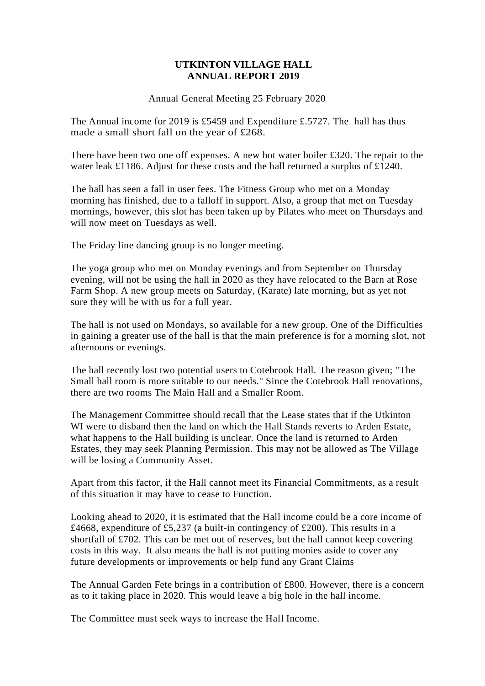# **UTKINTON VILLAGE HALL ANNUAL REPORT 2019**

Annual General Meeting 25 February 2020

The Annual income for 2019 is £5459 and Expenditure £.5727. The hall has thus made a small short fall on the year of £268.

There have been two one off expenses. A new hot water boiler £320. The repair to the water leak £1186. Adjust for these costs and the hall returned a surplus of £1240.

The hall has seen a fall in user fees. The Fitness Group who met on a Monday morning has finished, due to a falloff in support. Also, a group that met on Tuesday mornings, however, this slot has been taken up by Pilates who meet on Thursdays and will now meet on Tuesdays as well.

The Friday line dancing group is no longer meeting.

The yoga group who met on Monday evenings and from September on Thursday evening, will not be using the hall in 2020 as they have relocated to the Barn at Rose Farm Shop. A new group meets on Saturday, (Karate) late morning, but as yet not sure they will be with us for a full year.

The hall is not used on Mondays, so available for a new group. One of the Difficulties in gaining a greater use of the hall is that the main preference is for a morning slot, not afternoons or evenings.

The hall recently lost two potential users to Cotebrook Hall. The reason given; "The Small hall room is more suitable to our needs." Since the Cotebrook Hall renovations, there are two rooms The Main Hall and a Smaller Room.

The Management Committee should recall that the Lease states that if the Utkinton WI were to disband then the land on which the Hall Stands reverts to Arden Estate, what happens to the Hall building is unclear. Once the land is returned to Arden Estates, they may seek Planning Permission. This may not be allowed as The Village will be losing a Community Asset.

Apart from this factor, if the Hall cannot meet its Financial Commitments, as a result of this situation it may have to cease to Function.

Looking ahead to 2020, it is estimated that the Hall income could be a core income of £4668, expenditure of £5,237 (a built-in contingency of £200). This results in a shortfall of £702. This can be met out of reserves, but the hall cannot keep covering costs in this way. It also means the hall is not putting monies aside to cover any future developments or improvements or help fund any Grant Claims

The Annual Garden Fete brings in a contribution of £800. However, there is a concern as to it taking place in 2020. This would leave a big hole in the hall income.

The Committee must seek ways to increase the Hall Income.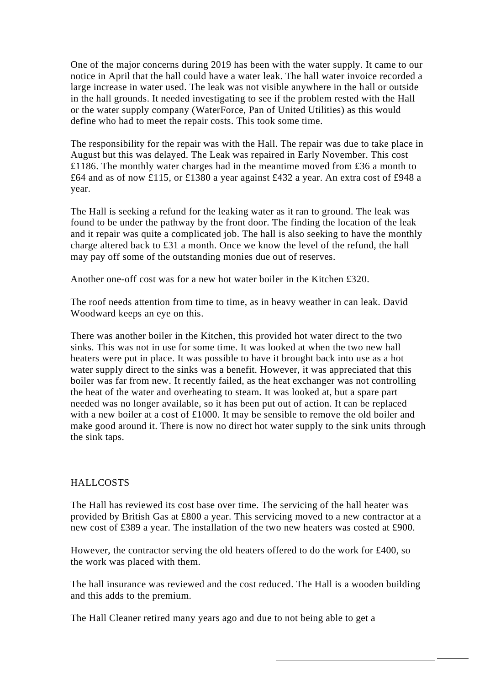One of the major concerns during 2019 has been with the water supply. It came to our notice in April that the hall could have a water leak. The hall water invoice recorded a large increase in water used. The leak was not visible anywhere in the hall or outside in the hall grounds. It needed investigating to see if the problem rested with the Hall or the water supply company (WaterForce, Pan of United Utilities) as this would define who had to meet the repair costs. This took some time.

The responsibility for the repair was with the Hall. The repair was due to take place in August but this was delayed. The Leak was repaired in Early November. This cost £1186. The monthly water charges had in the meantime moved from £36 a month to £64 and as of now £115, or £1380 a year against £432 a year. An extra cost of £948 a year.

The Hall is seeking a refund for the leaking water as it ran to ground. The leak was found to be under the pathway by the front door. The finding the location of the leak and it repair was quite a complicated job. The hall is also seeking to have the monthly charge altered back to £31 a month. Once we know the level of the refund, the hall may pay off some of the outstanding monies due out of reserves.

Another one-off cost was for a new hot water boiler in the Kitchen £320.

The roof needs attention from time to time, as in heavy weather in can leak. David Woodward keeps an eye on this.

There was another boiler in the Kitchen, this provided hot water direct to the two sinks. This was not in use for some time. It was looked at when the two new hall heaters were put in place. It was possible to have it brought back into use as a hot water supply direct to the sinks was a benefit. However, it was appreciated that this boiler was far from new. It recently failed, as the heat exchanger was not controlling the heat of the water and overheating to steam. It was looked at, but a spare part needed was no longer available, so it has been put out of action. It can be replaced with a new boiler at a cost of £1000. It may be sensible to remove the old boiler and make good around it. There is now no direct hot water supply to the sink units through the sink taps.

# HALLCOSTS

The Hall has reviewed its cost base over time. The servicing of the hall heater was provided by British Gas at £800 a year. This servicing moved to a new contractor at a new cost of £389 a year. The installation of the two new heaters was costed at £900.

However, the contractor serving the old heaters offered to do the work for £400, so the work was placed with them.

The hall insurance was reviewed and the cost reduced. The Hall is a wooden building and this adds to the premium.

The Hall Cleaner retired many years ago and due to not being able to get a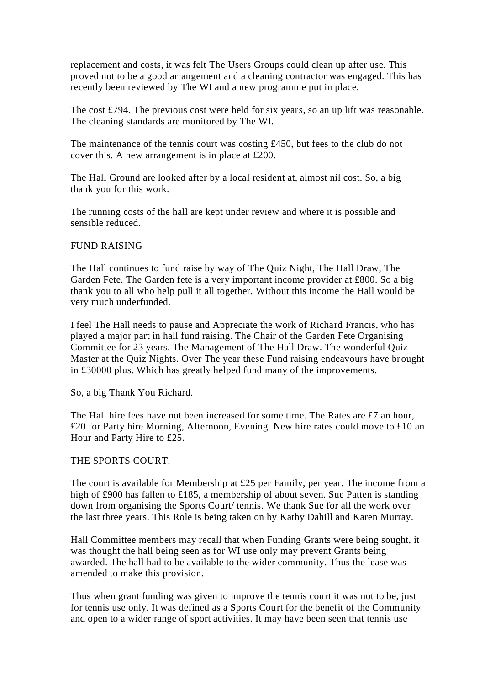replacement and costs, it was felt The Users Groups could clean up after use. This proved not to be a good arrangement and a cleaning contractor was engaged. This has recently been reviewed by The WI and a new programme put in place.

The cost £794. The previous cost were held for six years, so an up lift was reasonable. The cleaning standards are monitored by The WI.

The maintenance of the tennis court was costing £450, but fees to the club do not cover this. A new arrangement is in place at £200.

The Hall Ground are looked after by a local resident at, almost nil cost. So, a big thank you for this work.

The running costs of the hall are kept under review and where it is possible and sensible reduced.

# FUND RAISING

The Hall continues to fund raise by way of The Quiz Night, The Hall Draw, The Garden Fete. The Garden fete is a very important income provider at £800. So a big thank you to all who help pull it all together. Without this income the Hall would be very much underfunded.

I feel The Hall needs to pause and Appreciate the work of Richard Francis, who has played a major part in hall fund raising. The Chair of the Garden Fete Organising Committee for 23 years. The Management of The Hall Draw. The wonderful Quiz Master at the Quiz Nights. Over The year these Fund raising endeavours have brought in £30000 plus. Which has greatly helped fund many of the improvements.

So, a big Thank You Richard.

The Hall hire fees have not been increased for some time. The Rates are £7 an hour, £20 for Party hire Morning, Afternoon, Evening. New hire rates could move to £10 an Hour and Party Hire to £25.

#### THE SPORTS COURT.

The court is available for Membership at £25 per Family, per year. The income from a high of £900 has fallen to £185, a membership of about seven. Sue Patten is standing down from organising the Sports Court/ tennis. We thank Sue for all the work over the last three years. This Role is being taken on by Kathy Dahill and Karen Murray.

Hall Committee members may recall that when Funding Grants were being sought, it was thought the hall being seen as for WI use only may prevent Grants being awarded. The hall had to be available to the wider community. Thus the lease was amended to make this provision.

Thus when grant funding was given to improve the tennis court it was not to be, just for tennis use only. It was defined as a Sports Court for the benefit of the Community and open to a wider range of sport activities. It may have been seen that tennis use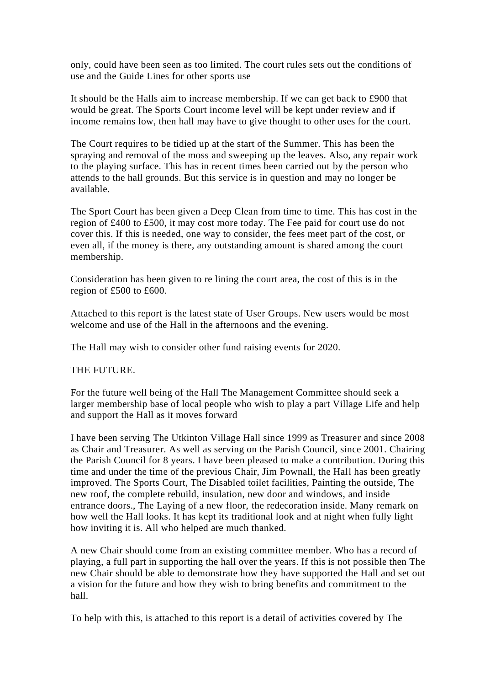only, could have been seen as too limited. The court rules sets out the conditions of use and the Guide Lines for other sports use

It should be the Halls aim to increase membership. If we can get back to £900 that would be great. The Sports Court income level will be kept under review and if income remains low, then hall may have to give thought to other uses for the court.

The Court requires to be tidied up at the start of the Summer. This has been the spraying and removal of the moss and sweeping up the leaves. Also, any repair work to the playing surface. This has in recent times been carried out by the person who attends to the hall grounds. But this service is in question and may no longer be available.

The Sport Court has been given a Deep Clean from time to time. This has cost in the region of £400 to £500, it may cost more today. The Fee paid for court use do not cover this. If this is needed, one way to consider, the fees meet part of the cost, or even all, if the money is there, any outstanding amount is shared among the court membership.

Consideration has been given to re lining the court area, the cost of this is in the region of £500 to £600.

Attached to this report is the latest state of User Groups. New users would be most welcome and use of the Hall in the afternoons and the evening.

The Hall may wish to consider other fund raising events for 2020.

# THE FUTURE.

For the future well being of the Hall The Management Committee should seek a larger membership base of local people who wish to play a part Village Life and help and support the Hall as it moves forward

I have been serving The Utkinton Village Hall since 1999 as Treasurer and since 2008 as Chair and Treasurer. As well as serving on the Parish Council, since 2001. Chairing the Parish Council for 8 years. I have been pleased to make a contribution. During this time and under the time of the previous Chair, Jim Pownall, the Hall has been greatly improved. The Sports Court, The Disabled toilet facilities, Painting the outside, The new roof, the complete rebuild, insulation, new door and windows, and inside entrance doors., The Laying of a new floor, the redecoration inside. Many remark on how well the Hall looks. It has kept its traditional look and at night when fully light how inviting it is. All who helped are much thanked.

A new Chair should come from an existing committee member. Who has a record of playing, a full part in supporting the hall over the years. If this is not possible then The new Chair should be able to demonstrate how they have supported the Hall and set out a vision for the future and how they wish to bring benefits and commitment to the hall.

To help with this, is attached to this report is a detail of activities covered by The